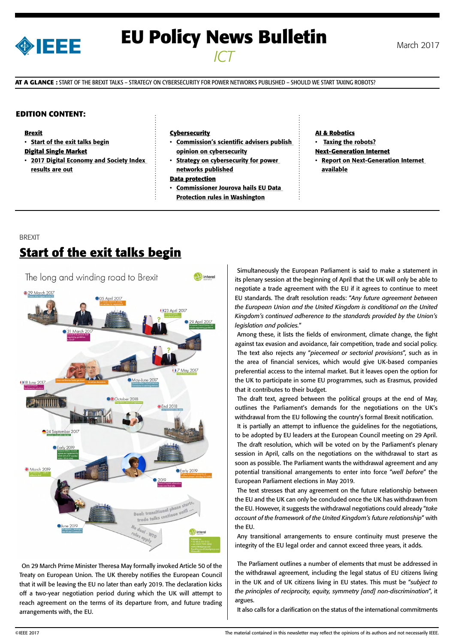

# **EU Policy News Bulletin** March 2017 *ICT*

**AT A GLANCE :** START OF THE BREXIT TALKS – STRATEGY ON CYBERSECURITY FOR POWER NETWORKS PUBLISHED – SHOULD WE START TAXING ROBOTS?

### **EDITION CONTENT:**

#### **Brexit**

• [Start of the exit talks begin](#page-0-0)

#### **Digital Single Market**

• [2017 Digital Economy and Society Index](#page-1-0)  [results are out](#page-1-0)

#### **Cybersecurity**

- [Commission's scientific advisers publish](#page-1-0)  [opinion on cybersecurity](#page-1-0)
- [Strategy on cybersecurity for power](#page-1-0)  [networks published](#page-1-0)

#### **Data protection**

• [Commissioner Jourova hails EU Data](#page-1-0)  [Protection rules in Washington](#page-1-0)

#### **AI & Robotics**

- [Taxing the robots?](#page-2-0)
- **Next-Generation Internet**
- **Report on Next-Generation Internet** [available](#page-2-0)

### BREXIT **Start of the exit talks begin**



<span id="page-0-0"></span>On 29 March Prime Minister Theresa May formally invoked Article 50 of the Treaty on European Union. The UK thereby notifies the European Council that it will be leaving the EU no later than early 2019. The declaration kicks off a two-year negotiation period during which the UK will attempt to reach agreement on the terms of its departure from, and future trading arrangements with, the EU.

Simultaneously the European Parliament is said to make a statement in its plenary session at the beginning of April that the UK will only be able to negotiate a trade agreement with the EU if it agrees to continue to meet EU standards. The draft resolution reads: "*Any future agreement between the European Union and the United Kingdom is conditional on the United Kingdom's continued adherence to the standards provided by the Union's legislation and policies.*"

Among these, it lists the fields of environment, climate change, the fight against tax evasion and avoidance, fair competition, trade and social policy. The text also rejects any "*piecemeal or sectorial provisions*", such as in the area of financial services, which would give UK-based companies preferential access to the internal market. But it leaves open the option for the UK to participate in some EU programmes, such as Erasmus, provided that it contributes to their budget.

The draft text, agreed between the political groups at the end of May, outlines the Parliament's demands for the negotiations on the UK's withdrawal from the EU following the country's formal Brexit notification.

It is partially an attempt to influence the guidelines for the negotiations, to be adopted by EU leaders at the European Council meeting on 29 April. The draft resolution, which will be voted on by the Parliament's plenary session in April, calls on the negotiations on the withdrawal to start as soon as possible. The Parliament wants the withdrawal agreement and any potential transitional arrangements to enter into force "*well before*" the European Parliament elections in May 2019.

The text stresses that any agreement on the future relationship between the EU and the UK can only be concluded once the UK has withdrawn from the EU. However, it suggests the withdrawal negotiations could already "*take account of the framework of the United Kingdom's future relationship*" with the EU.

Any transitional arrangements to ensure continuity must preserve the integrity of the EU legal order and cannot exceed three years, it adds.

The Parliament outlines a number of elements that must be addressed in the withdrawal agreement, including the legal status of EU citizens living in the UK and of UK citizens living in EU states. This must be "*subject to the principles of reciprocity, equity, symmetry [and] non-discrimination*", it argues.

It also calls for a clarification on the status of the international commitments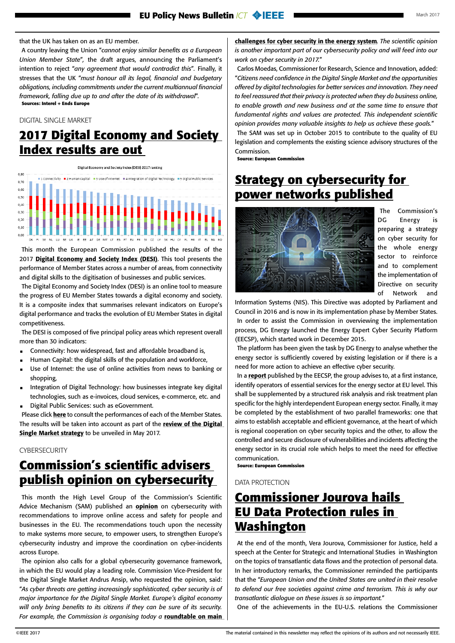### <span id="page-1-0"></span>that the UK has taken on as an EU member.

A country leaving the Union "*cannot enjoy similar benefits as a European Union Member State*"*,* the draft argues, announcing the Parliament's intention to reject "*any agreement that would contradict this*"*.* Finally, it stresses that the UK "*must honour all its legal, financial and budgetary obligations, including commitments under the current multiannual financial framework, falling due up to and after the date of its withdrawal*". **Sources: Interel + Ends Europe**

DIGITAL SINGLE MARKET

## **2017 Digital Economy and Society Index results are out**

Digital Economy and Society Index (DESI) 2017 ranking



This month the European Commission published the results of the 2017 [Digital Economy and Society Index \(DESI\)](https://ec.europa.eu/digital-single-market/en/desi). This tool presents the performance of Member States across a number of areas, from connectivity and digital skills to the digitisation of businesses and public services.

The Digital Economy and Society Index (DESI) is an online tool to measure the progress of EU Member States towards a digital economy and society. It is a composite index that summarises relevant indicators on Europe's digital performance and tracks the evolution of EU Member States in digital competitiveness.

The DESI is composed of five principal policy areas which represent overall more than 30 indicators:

- Connectivity: how widespread, fast and affordable broadband is,
- Human Capital: the digital skills of the population and workforce,
- Use of Internet: the use of online activities from news to banking or shopping,
- Integration of Digital Technology: how businesses integrate key digital technologies, such as e-invoices, cloud services, e-commerce, etc. and Digital Public Services: such as eGovernment.
- Please click [here](https://ec.europa.eu/digital-single-market/en/progress-country) to consult the performances of each of the Member States.

The results will be taken into account as part of the review of the Digital [Single Market strategy](https://ec.europa.eu/commission/priorities/digital-single-market_en) to be unveiled in May 2017.

### **CYBERSECURITY**

## **Commission's scientific advisers publish opinion on cybersecurity**

This month the High Level Group of the Commission's Scientific Advice Mechanism (SAM) published an **[opinion](http://ec.europa.eu/research/sam/pdf/sam_cybersecurity_report.pdf)** on cybersecurity with recommendations to improve online access and safety for people and businesses in the EU. The recommendations touch upon the necessity to make systems more secure, to empower users, to strengthen Europe's cybersecurity industry and improve the coordination on cyber-incidents across Europe.

The opinion also calls for a global cybersecurity governance framework, in which the EU would play a leading role. Commission Vice-President for the Digital Single Market Andrus Ansip, who requested the opinion, said: "*As cyber threats are getting increasingly sophisticated, cyber security is of major importance for the Digital Single Market. Europe's digital economy will only bring benefits to its citizens if they can be sure of its security.*  For example, the Commission is organising today a **roundtable on main** 

[challenges for cyber security in the energy system](https://ec.europa.eu/digital-single-market/en/news/digital-day-side-events)*. The scientific opinion is another important part of our cybersecurity policy and will feed into our work on cyber security in 2017.*"

Carlos Moedas, Commissioner for Research, Science and Innovation, added: "*Citizens need confidence in the Digital Single Market and the opportunities offered by digital technologies for better services and innovation. They need to feel reassured that their privacy is protected when they do business online, to enable growth and new business and at the same time to ensure that fundamental rights and values are protected. This independent scientific opinion provides many valuable insights to help us achieve these goals.*" The SAM was set up in October 2015 to contribute to the quality of EU legislation and complements the existing science advisory structures of the Commission.

**Source: European Commission**

### **Strategy on cybersecurity for power networks published**



The Commission's DG Energy is preparing a strategy on cyber security for the whole energy sector to reinforce and to complement the implementation of Directive on security of Network and

Information Systems (NIS). This Directive was adopted by Parliament and Council in 2016 and is now in its implementation phase by Member States. In order to assist the Commission in overviewing the implementation process, DG Energy launched the Energy Expert Cyber Security Platform (EECSP), which started work in December 2015.

The platform has been given the task by DG Energy to analyse whether the energy sector is sufficiently covered by existing legislation or if there is a need for more action to achieve an effective cyber security.

In a [report](https://ec.europa.eu/energy/sites/ener/files/documents/eecsp_report_final.pdf) published by the EECSP, the group advises to, at a first instance, identify operators of essential services for the energy sector at EU level. This shall be supplemented by a structured risk analysis and risk treatment plan specific for the highly interdependent European energy sector. Finally, it may be completed by the establishment of two parallel frameworks: one that aims to establish acceptable and efficient governance, at the heart of which is regional cooperation on cyber security topics and the other, to allow the controlled and secure disclosure of vulnerabilities and incidents affecting the energy sector in its crucial role which helps to meet the need for effective communication.

**Source: European Commission**

#### DATA PROTECTION

## **Commissioner Jourova hails EU Data Protection rules in Washington**

At the end of the month, Vera Jourova, Commissioner for Justice, held a speech at the Center for Strategic and International Studies in Washington on the topics of transatlantic data flows and the protection of personal data. In her introductory remarks, the Commissioner reminded the participants that the "*European Union and the United States are united in their resolve to defend our free societies against crime and terrorism. This is why our transatlantic dialogue on these issues is so important.*"

One of the achievements in the EU-U.S. relations the Commissioner